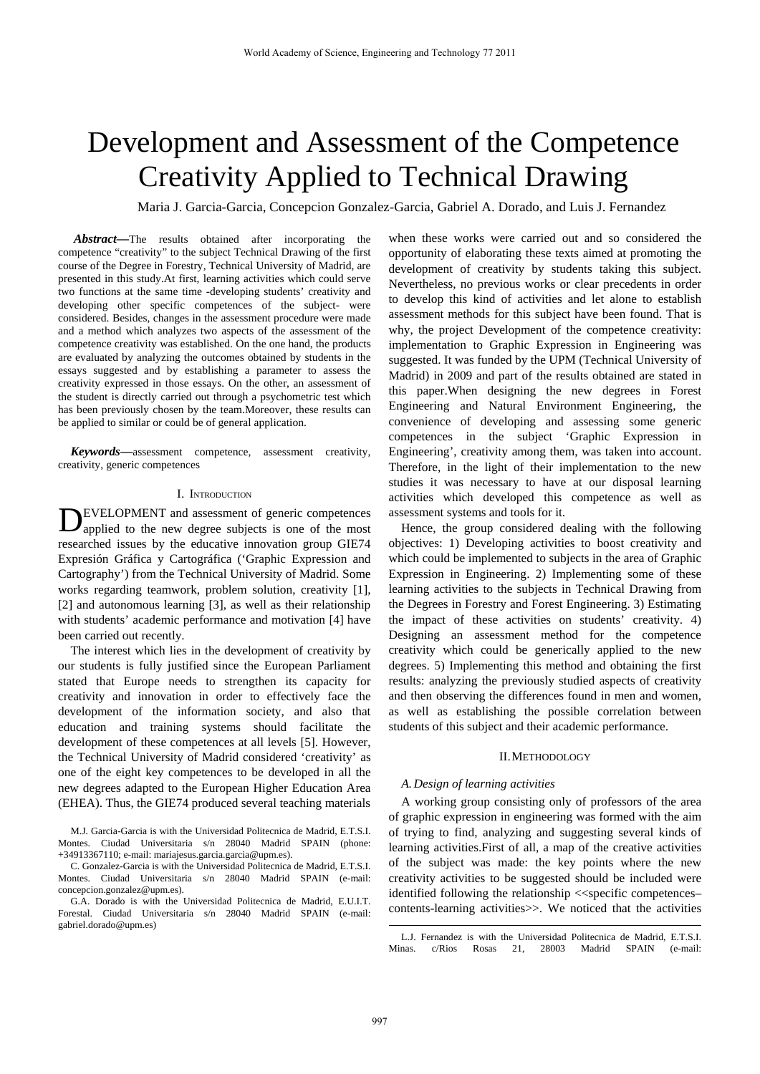# Development and Assessment of the Competence Creativity Applied to Technical Drawing

Maria J. Garcia-Garcia, Concepcion Gonzalez-Garcia, Gabriel A. Dorado, and Luis J. Fernandez

*Abstract***—**The results obtained after incorporating the competence "creativity" to the subject Technical Drawing of the first course of the Degree in Forestry, Technical University of Madrid, are presented in this study.At first, learning activities which could serve two functions at the same time -developing students' creativity and developing other specific competences of the subject- were considered. Besides, changes in the assessment procedure were made and a method which analyzes two aspects of the assessment of the competence creativity was established. On the one hand, the products are evaluated by analyzing the outcomes obtained by students in the essays suggested and by establishing a parameter to assess the creativity expressed in those essays. On the other, an assessment of the student is directly carried out through a psychometric test which has been previously chosen by the team.Moreover, these results can be applied to similar or could be of general application.

*Keywords***—**assessment competence, assessment creativity, creativity, generic competences

### I. INTRODUCTION

EVELOPMENT and assessment of generic competences **DEVELOPMENT** and assessment of generic competences applied to the new degree subjects is one of the most researched issues by the educative innovation group GIE74 Expresión Gráfica y Cartográfica ('Graphic Expression and Cartography') from the Technical University of Madrid. Some works regarding teamwork, problem solution, creativity [1], [2] and autonomous learning [3], as well as their relationship with students' academic performance and motivation [4] have been carried out recently.

The interest which lies in the development of creativity by our students is fully justified since the European Parliament stated that Europe needs to strengthen its capacity for creativity and innovation in order to effectively face the development of the information society, and also that education and training systems should facilitate the development of these competences at all levels [5]. However, the Technical University of Madrid considered 'creativity' as one of the eight key competences to be developed in all the new degrees adapted to the European Higher Education Area (EHEA). Thus, the GIE74 produced several teaching materials

G.A. Dorado is with the Universidad Politecnica de Madrid, E.U.I.T. Forestal. Ciudad Universitaria s/n 28040 Madrid SPAIN (e-mail: gabriel.dorado@upm.es)

when these works were carried out and so considered the opportunity of elaborating these texts aimed at promoting the development of creativity by students taking this subject. Nevertheless, no previous works or clear precedents in order to develop this kind of activities and let alone to establish assessment methods for this subject have been found. That is why, the project Development of the competence creativity: implementation to Graphic Expression in Engineering was suggested. It was funded by the UPM (Technical University of Madrid) in 2009 and part of the results obtained are stated in this paper.When designing the new degrees in Forest Engineering and Natural Environment Engineering, the convenience of developing and assessing some generic competences in the subject 'Graphic Expression in Engineering', creativity among them, was taken into account. Therefore, in the light of their implementation to the new studies it was necessary to have at our disposal learning activities which developed this competence as well as assessment systems and tools for it.

Hence, the group considered dealing with the following objectives: 1) Developing activities to boost creativity and which could be implemented to subjects in the area of Graphic Expression in Engineering. 2) Implementing some of these learning activities to the subjects in Technical Drawing from the Degrees in Forestry and Forest Engineering. 3) Estimating the impact of these activities on students' creativity. 4) Designing an assessment method for the competence creativity which could be generically applied to the new degrees. 5) Implementing this method and obtaining the first results: analyzing the previously studied aspects of creativity and then observing the differences found in men and women, as well as establishing the possible correlation between students of this subject and their academic performance.

## II.METHODOLOGY

## *A.Design of learning activities*

A working group consisting only of professors of the area of graphic expression in engineering was formed with the aim of trying to find, analyzing and suggesting several kinds of learning activities.First of all, a map of the creative activities of the subject was made: the key points where the new creativity activities to be suggested should be included were identified following the relationship <<specific competences– contents-learning activities>>. We noticed that the activities

M.J. Garcia-Garcia is with the Universidad Politecnica de Madrid, E.T.S.I. Montes. Ciudad Universitaria s/n 28040 Madrid SPAIN (phone: +34913367110; e-mail: mariajesus.garcia.garcia@upm.es).

C. Gonzalez-Garcia is with the Universidad Politecnica de Madrid, E.T.S.I. Montes. Ciudad Universitaria s/n 28040 Madrid SPAIN (e-mail: concepcion.gonzalez@upm.es).

L.J. Fernandez is with the Universidad Politecnica de Madrid, E.T.S.I. Minas. c/Rios Rosas 21, 28003 Madrid SPAIN (e-mail: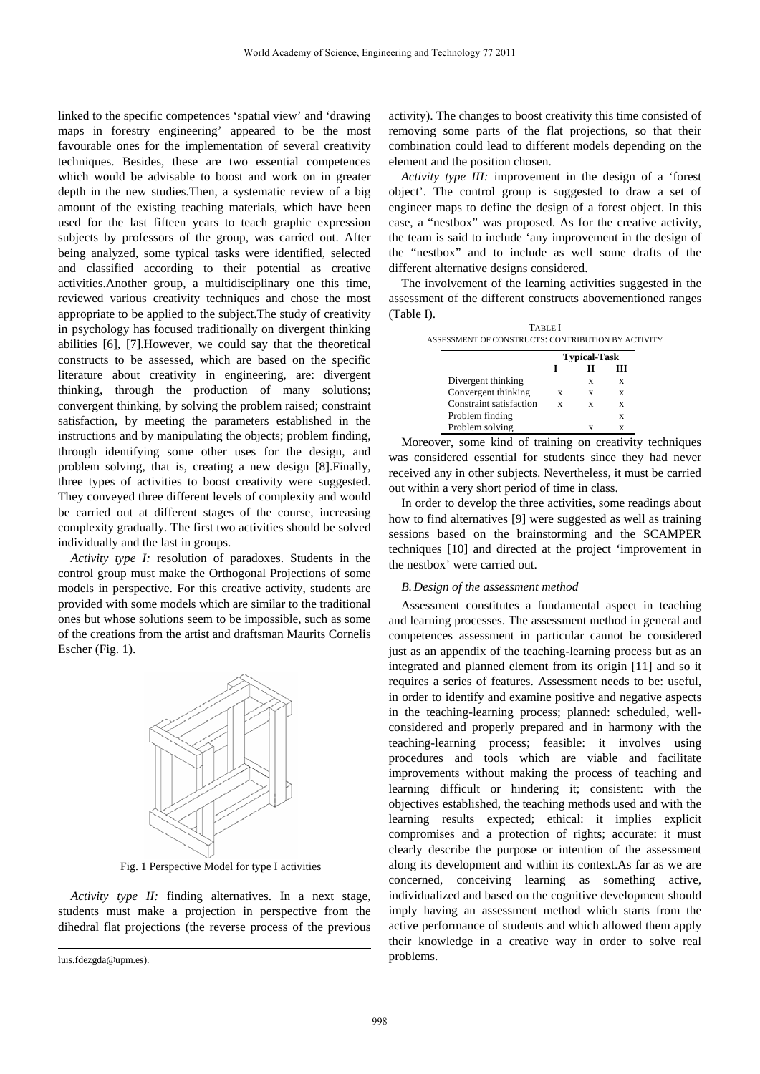linked to the specific competences 'spatial view' and 'drawing maps in forestry engineering' appeared to be the most favourable ones for the implementation of several creativity techniques. Besides, these are two essential competences which would be advisable to boost and work on in greater depth in the new studies.Then, a systematic review of a big amount of the existing teaching materials, which have been used for the last fifteen years to teach graphic expression subjects by professors of the group, was carried out. After being analyzed, some typical tasks were identified, selected and classified according to their potential as creative activities.Another group, a multidisciplinary one this time, reviewed various creativity techniques and chose the most appropriate to be applied to the subject.The study of creativity in psychology has focused traditionally on divergent thinking abilities [6], [7].However, we could say that the theoretical constructs to be assessed, which are based on the specific literature about creativity in engineering, are: divergent thinking, through the production of many solutions; convergent thinking, by solving the problem raised; constraint satisfaction, by meeting the parameters established in the instructions and by manipulating the objects; problem finding, through identifying some other uses for the design, and problem solving, that is, creating a new design [8].Finally, three types of activities to boost creativity were suggested. They conveyed three different levels of complexity and would be carried out at different stages of the course, increasing complexity gradually. The first two activities should be solved individually and the last in groups.

*Activity type I:* resolution of paradoxes. Students in the control group must make the Orthogonal Projections of some models in perspective. For this creative activity, students are provided with some models which are similar to the traditional ones but whose solutions seem to be impossible, such as some of the creations from the artist and draftsman Maurits Cornelis Escher (Fig. 1).



Fig. 1 Perspective Model for type I activities

*Activity type II:* finding alternatives. In a next stage, students must make a projection in perspective from the dihedral flat projections (the reverse process of the previous

luis.fdezgda@upm.es).

l

activity). The changes to boost creativity this time consisted of removing some parts of the flat projections, so that their combination could lead to different models depending on the element and the position chosen.

*Activity type III:* improvement in the design of a 'forest object'. The control group is suggested to draw a set of engineer maps to define the design of a forest object. In this case, a "nestbox" was proposed. As for the creative activity, the team is said to include 'any improvement in the design of the "nestbox" and to include as well some drafts of the different alternative designs considered.

The involvement of the learning activities suggested in the assessment of the different constructs abovementioned ranges (Table I).

|                         | <b>Typical-Task</b> |   |   |
|-------------------------|---------------------|---|---|
|                         |                     |   |   |
| Divergent thinking      |                     | X | X |
| Convergent thinking     | X                   | X | X |
| Constraint satisfaction | x                   | X | X |
| Problem finding         |                     |   | X |
| Problem solving         |                     | x | X |

Moreover, some kind of training on creativity techniques was considered essential for students since they had never received any in other subjects. Nevertheless, it must be carried out within a very short period of time in class.

In order to develop the three activities, some readings about how to find alternatives [9] were suggested as well as training sessions based on the brainstorming and the SCAMPER techniques [10] and directed at the project 'improvement in the nestbox' were carried out.

## *B.Design of the assessment method*

Assessment constitutes a fundamental aspect in teaching and learning processes. The assessment method in general and competences assessment in particular cannot be considered just as an appendix of the teaching-learning process but as an integrated and planned element from its origin [11] and so it requires a series of features. Assessment needs to be: useful, in order to identify and examine positive and negative aspects in the teaching-learning process; planned: scheduled, wellconsidered and properly prepared and in harmony with the teaching-learning process; feasible: it involves using procedures and tools which are viable and facilitate improvements without making the process of teaching and learning difficult or hindering it; consistent: with the objectives established, the teaching methods used and with the learning results expected; ethical: it implies explicit compromises and a protection of rights; accurate: it must clearly describe the purpose or intention of the assessment along its development and within its context.As far as we are concerned, conceiving learning as something active, individualized and based on the cognitive development should imply having an assessment method which starts from the active performance of students and which allowed them apply their knowledge in a creative way in order to solve real problems.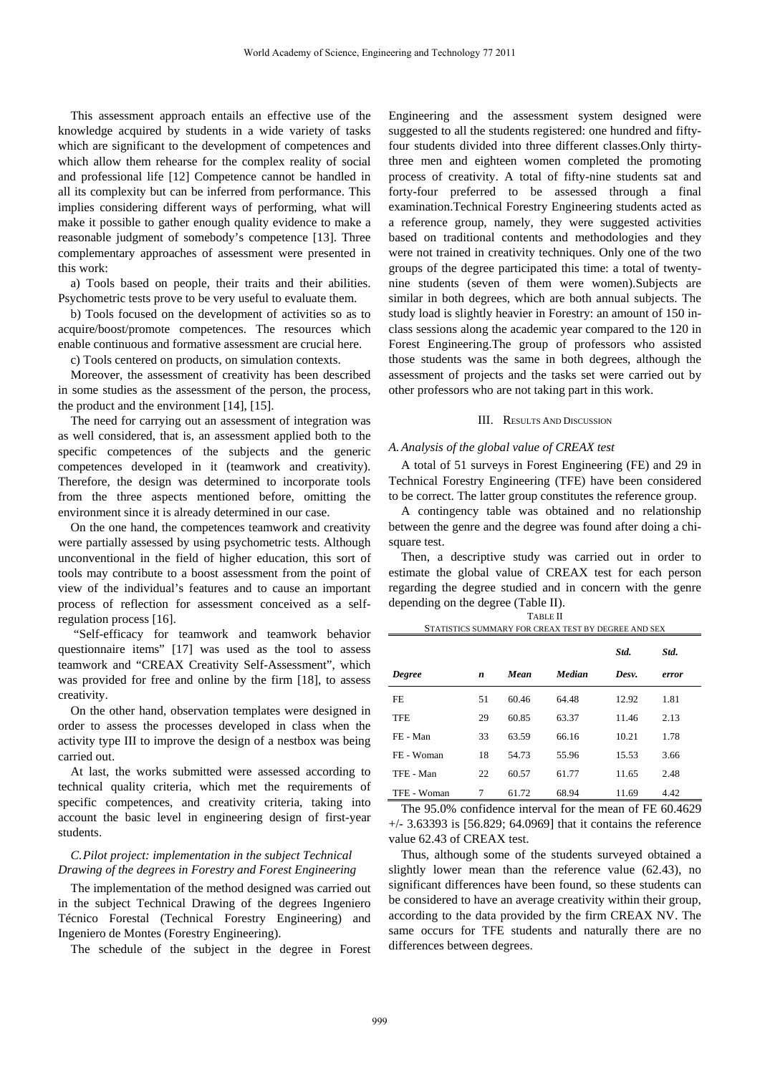This assessment approach entails an effective use of the knowledge acquired by students in a wide variety of tasks which are significant to the development of competences and which allow them rehearse for the complex reality of social and professional life [12] Competence cannot be handled in all its complexity but can be inferred from performance. This implies considering different ways of performing, what will make it possible to gather enough quality evidence to make a reasonable judgment of somebody's competence [13]. Three complementary approaches of assessment were presented in this work:

a) Tools based on people, their traits and their abilities. Psychometric tests prove to be very useful to evaluate them.

b) Tools focused on the development of activities so as to acquire/boost/promote competences. The resources which enable continuous and formative assessment are crucial here.

c) Tools centered on products, on simulation contexts.

Moreover, the assessment of creativity has been described in some studies as the assessment of the person, the process, the product and the environment [14], [15].

The need for carrying out an assessment of integration was as well considered, that is, an assessment applied both to the specific competences of the subjects and the generic competences developed in it (teamwork and creativity). Therefore, the design was determined to incorporate tools from the three aspects mentioned before, omitting the environment since it is already determined in our case.

On the one hand, the competences teamwork and creativity were partially assessed by using psychometric tests. Although unconventional in the field of higher education, this sort of tools may contribute to a boost assessment from the point of view of the individual's features and to cause an important process of reflection for assessment conceived as a selfregulation process [16].

 "Self-efficacy for teamwork and teamwork behavior questionnaire items" [17] was used as the tool to assess teamwork and "CREAX Creativity Self-Assessment", which was provided for free and online by the firm [18], to assess creativity.

On the other hand, observation templates were designed in order to assess the processes developed in class when the activity type III to improve the design of a nestbox was being carried out.

At last, the works submitted were assessed according to technical quality criteria, which met the requirements of specific competences, and creativity criteria, taking into account the basic level in engineering design of first-year students.

## *C.Pilot project: implementation in the subject Technical Drawing of the degrees in Forestry and Forest Engineering*

The implementation of the method designed was carried out in the subject Technical Drawing of the degrees Ingeniero Técnico Forestal (Technical Forestry Engineering) and Ingeniero de Montes (Forestry Engineering).

The schedule of the subject in the degree in Forest

Engineering and the assessment system designed were suggested to all the students registered: one hundred and fiftyfour students divided into three different classes.Only thirtythree men and eighteen women completed the promoting process of creativity. A total of fifty-nine students sat and forty-four preferred to be assessed through a final examination.Technical Forestry Engineering students acted as a reference group, namely, they were suggested activities based on traditional contents and methodologies and they were not trained in creativity techniques. Only one of the two groups of the degree participated this time: a total of twentynine students (seven of them were women).Subjects are similar in both degrees, which are both annual subjects. The study load is slightly heavier in Forestry: an amount of 150 inclass sessions along the academic year compared to the 120 in Forest Engineering.The group of professors who assisted those students was the same in both degrees, although the assessment of projects and the tasks set were carried out by other professors who are not taking part in this work.

#### III. RESULTS AND DISCUSSION

## *A.Analysis of the global value of CREAX test*

A total of 51 surveys in Forest Engineering (FE) and 29 in Technical Forestry Engineering (TFE) have been considered to be correct. The latter group constitutes the reference group.

A contingency table was obtained and no relationship between the genre and the degree was found after doing a chisquare test.

Then, a descriptive study was carried out in order to estimate the global value of CREAX test for each person regarding the degree studied and in concern with the genre depending on the degree (Table II). TABLE II

| STATISTICS SUMMARY FOR CREAX TEST BY DEGREE AND SEX |    |       |        |       |       |  |  |  |
|-----------------------------------------------------|----|-------|--------|-------|-------|--|--|--|
|                                                     |    |       |        | Std.  | Std.  |  |  |  |
| <b>Degree</b>                                       | n  | Mean  | Median | Desv. | error |  |  |  |
| FE.                                                 | 51 | 60.46 | 64.48  | 12.92 | 1.81  |  |  |  |
| <b>TFE</b>                                          | 29 | 60.85 | 63.37  | 11.46 | 2.13  |  |  |  |
| FE - Man                                            | 33 | 63.59 | 66.16  | 10.21 | 1.78  |  |  |  |
| FE - Woman                                          | 18 | 54.73 | 55.96  | 15.53 | 3.66  |  |  |  |
| TFE - Man                                           | 22 | 60.57 | 61.77  | 11.65 | 2.48  |  |  |  |
| TFE - Woman                                         | 7  | 61.72 | 68.94  | 11.69 | 4.42  |  |  |  |

The 95.0% confidence interval for the mean of FE 60.4629 +/- 3.63393 is [56.829; 64.0969] that it contains the reference value 62.43 of CREAX test.

Thus, although some of the students surveyed obtained a slightly lower mean than the reference value (62.43), no significant differences have been found, so these students can be considered to have an average creativity within their group, according to the data provided by the firm CREAX NV. The same occurs for TFE students and naturally there are no differences between degrees.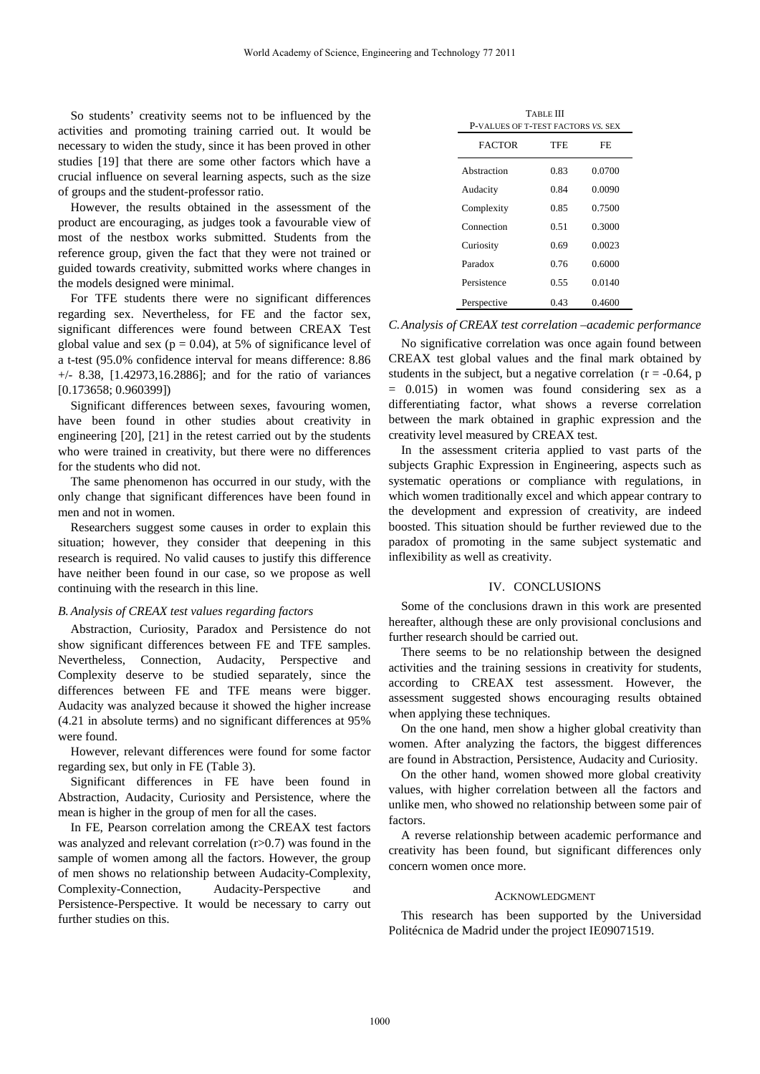So students' creativity seems not to be influenced by the activities and promoting training carried out. It would be necessary to widen the study, since it has been proved in other studies [19] that there are some other factors which have a crucial influence on several learning aspects, such as the size of groups and the student-professor ratio.

However, the results obtained in the assessment of the product are encouraging, as judges took a favourable view of most of the nestbox works submitted. Students from the reference group, given the fact that they were not trained or guided towards creativity, submitted works where changes in the models designed were minimal.

For TFE students there were no significant differences regarding sex. Nevertheless, for FE and the factor sex, significant differences were found between CREAX Test global value and sex ( $p = 0.04$ ), at 5% of significance level of a t-test (95.0% confidence interval for means difference: 8.86 +/- 8.38, [1.42973,16.2886]; and for the ratio of variances [0.173658; 0.960399])

Significant differences between sexes, favouring women, have been found in other studies about creativity in engineering [20], [21] in the retest carried out by the students who were trained in creativity, but there were no differences for the students who did not.

The same phenomenon has occurred in our study, with the only change that significant differences have been found in men and not in women.

Researchers suggest some causes in order to explain this situation; however, they consider that deepening in this research is required. No valid causes to justify this difference have neither been found in our case, so we propose as well continuing with the research in this line.

## *B.Analysis of CREAX test values regarding factors*

Abstraction, Curiosity, Paradox and Persistence do not show significant differences between FE and TFE samples. Nevertheless, Connection, Audacity, Perspective and Complexity deserve to be studied separately, since the differences between FE and TFE means were bigger. Audacity was analyzed because it showed the higher increase (4.21 in absolute terms) and no significant differences at 95% were found.

However, relevant differences were found for some factor regarding sex, but only in FE (Table 3).

Significant differences in FE have been found in Abstraction, Audacity, Curiosity and Persistence, where the mean is higher in the group of men for all the cases.

In FE, Pearson correlation among the CREAX test factors was analyzed and relevant correlation  $(r>0.7)$  was found in the sample of women among all the factors. However, the group of men shows no relationship between Audacity-Complexity, Complexity-Connection, Audacity-Perspective and Persistence-Perspective. It would be necessary to carry out further studies on this.

| TABLE III<br>P-VALUES OF T-TEST FACTORS VS. SEX |      |        |  |  |  |  |
|-------------------------------------------------|------|--------|--|--|--|--|
| <b>FACTOR</b>                                   | TFE  | FF.    |  |  |  |  |
| Abstraction                                     | 0.83 | 0.0700 |  |  |  |  |
| Audacity                                        | 0.84 | 0.0090 |  |  |  |  |
| Complexity                                      | 0.85 | 0.7500 |  |  |  |  |
| Connection                                      | 0.51 | 0.3000 |  |  |  |  |
| Curiosity                                       | 0.69 | 0.0023 |  |  |  |  |
| Paradox                                         | 0.76 | 0.6000 |  |  |  |  |
| Persistence                                     | 0.55 | 0.0140 |  |  |  |  |
| Perspective                                     | 0.43 | 0.4600 |  |  |  |  |

### *C.Analysis of CREAX test correlation –academic performance*

No significative correlation was once again found between CREAX test global values and the final mark obtained by students in the subject, but a negative correlation  $(r = -0.64, p$  $= 0.015$  in women was found considering sex as a differentiating factor, what shows a reverse correlation between the mark obtained in graphic expression and the creativity level measured by CREAX test.

In the assessment criteria applied to vast parts of the subjects Graphic Expression in Engineering, aspects such as systematic operations or compliance with regulations, in which women traditionally excel and which appear contrary to the development and expression of creativity, are indeed boosted. This situation should be further reviewed due to the paradox of promoting in the same subject systematic and inflexibility as well as creativity.

## IV. CONCLUSIONS

Some of the conclusions drawn in this work are presented hereafter, although these are only provisional conclusions and further research should be carried out.

There seems to be no relationship between the designed activities and the training sessions in creativity for students, according to CREAX test assessment. However, the assessment suggested shows encouraging results obtained when applying these techniques.

On the one hand, men show a higher global creativity than women. After analyzing the factors, the biggest differences are found in Abstraction, Persistence, Audacity and Curiosity.

On the other hand, women showed more global creativity values, with higher correlation between all the factors and unlike men, who showed no relationship between some pair of factors.

A reverse relationship between academic performance and creativity has been found, but significant differences only concern women once more.

## ACKNOWLEDGMENT

This research has been supported by the Universidad Politécnica de Madrid under the project IE09071519.